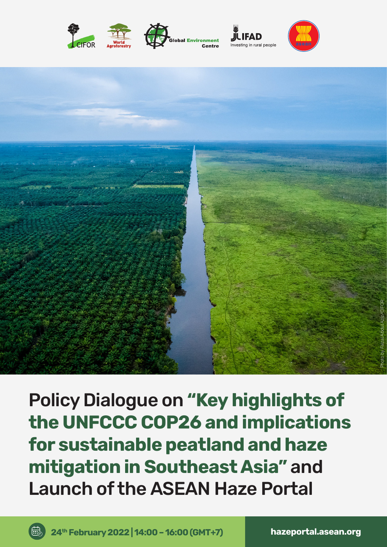







Policy Dialogue on **"Key highlights of the UNFCCC COP26 and implications for sustainable peatland and haze mitigation in Southeast Asia"** and Launch of the ASEAN Haze Portal

最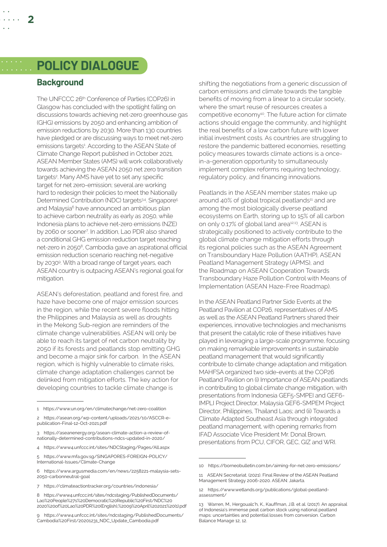# **POLICY DIALOGUE**

#### **Background**

**2**

The UNFCCC 26<sup>th</sup> Conference of Parties (COP26) in Glasgow has concluded with the spotlight falling on discussions towards achieving net-zero greenhouse gas (GHG) emissions by 2050 and enhancing ambition of emission reductions by 2030. More than 130 countries have pledged or are discussing ways to meet net-zero emissions targets<sup>1</sup>. According to the ASEAN State of Climate Change Report published in October 2021, ASEAN Member States (AMS) will work collaboratively towards achieving the ASEAN 2050 net zero transition targets<sup>2</sup>. Many AMS have yet to set any specific target for net zero-emission; several are working hard to redesign their policies to meet the Nationally Determined Contribution (NDC) targets<sup>34</sup>. Singapore<sup>5</sup> and Malaysia<sup>6</sup> have announced an ambitious plan to achieve carbon neutrality as early as 2050, while Indonesia plans to achieve net-zero emissions (NZE) by 2060 or sooner7 . In addition, Lao PDR also shared a conditional GHG emission reduction target reaching net-zero in 20508, Cambodia gave an aspirational official emission reduction scenario reaching net-negative by 20309 . With a broad range of target years, each ASEAN country is outpacing ASEAN's regional goal for mitigation.

ASEAN's deforestation, peatland and forest fire, and haze have become one of major emission sources in the region, while the recent severe floods hitting the Philippines and Malaysia as well as droughts in the Mekong Sub-region are reminders of the climate change vulnerabilities. ASEAN will only be able to reach its target of net carbon neutrality by 2050 if its forests and peatlands stop emitting GHG and become a major sink for carbon. In the ASEAN region, which is highly vulnerable to climate risks, climate change adaptation challenges cannot be delinked from mitigation efforts. The key action for developing countries to tackle climate change is

shifting the negotiations from a generic discussion of carbon emissions and climate towards the tangible benefits of moving from a linear to a circular society, where the smart reuse of resources creates a competitive economy<sup>10</sup>. The future action for climate actions should engage the community, and highlight the real benefits of a low carbon future with lower initial investment costs. As countries are struggling to restore the pandemic battered economies, resetting policy measures towards climate actions is a oncein-a-generation opportunity to simultaneously implement complex reforms requiring technology, regulatory policy, and financing innovations.

Peatlands in the ASEAN member states make up around 40% of global tropical peatlands<sup>11</sup> and are among the most biologically diverse peatland ecosystems on Earth, storing up to 15% of all carbon on only 0.17% of global land area<sup>12,13</sup>. ASEAN is strategically positioned to actively contribute to the global climate change mitigation efforts through its regional policies such as the ASEAN Agreement on Transboundary Haze Pollution (AATHP), ASEAN Peatland Management Strategy (APMS), and the Roadmap on ASEAN Cooperation Towards Transboundary Haze Pollution Control with Means of Implementation (ASEAN Haze-Free Roadmap).

In the ASEAN Peatland Partner Side Events at the Peatland Pavilion at COP26, representatives of AMS as well as the ASEAN Peatland Partners shared their experiences, innovative technologies and mechanisms that present the catalytic role of these initiatives have played in leveraging a large-scale programme, focusing on making remarkable improvements in sustainable peatland management that would significantly contribute to climate change adaptation and mitigation. MAHFSA organized two side-events at the COP26 Peatland Pavilion on (i) Importance of ASEAN peatlands in contributing to global climate change mitigation, with presentations from Indonesia GEF5-SMPEI and GEF6- IMPLI Project Director, Malaysia GEF6-SMPEM Project Director, Philippines, Thailand Laos; and (ii) Towards a Climate Adapted Southeast Asia through integrated peatland management, with opening remarks from IFAD Associate Vice President Mr. Donal Brown, presentations from PCU, CIFOR, GEC, GIZ and WRI.

<sup>1</sup> <https://www.un.org/en/climatechange/net-zero-coalition>

<sup>2</sup> [https://asean.org/wp-content/uploads/2021/10/ASCCR-e](https://asean.org/wp-content/uploads/2021/10/ASCCR-e-publication-Final-12-Oct-2021.pdf)[publication-Final-12-Oct-2021.pdf](https://asean.org/wp-content/uploads/2021/10/ASCCR-e-publication-Final-12-Oct-2021.pdf)

<sup>3</sup> [https://aseanenergy.org/asean-climate-action-a-review-of](https://aseanenergy.org/asean-climate-action-a-review-of-nationally-determined-contributions-ndcs-updated-in-2020/)[nationally-determined-contributions-ndcs-updated-in-2020/](https://aseanenergy.org/asean-climate-action-a-review-of-nationally-determined-contributions-ndcs-updated-in-2020/)

<sup>4</sup> <https://www4.unfccc.int/sites/NDCStaging/Pages/All.aspx>

<sup>5</sup> https://www.mfa.gov.sg/SINGAPORES-FOREIGN-POLICY/ International-Issues/Climate-Change

<sup>6</sup> https://www.argusmedia.com/en/news/2258221-malaysia-sets-2050-carbonneutral-goal

<sup>7</sup> https://climateactiontracker.org/countries/indonesia/

<sup>8</sup> https://www4.unfccc.int/sites/ndcstaging/PublishedDocuments/ Lao%20People%27s%20Democratic%20Republic%20First/NDC%20 2020%20of%20Lao%20PDR%20(English),%2009%20April%202021%20(1).pdf

<sup>9</sup> https://www4.unfccc.int/sites/ndcstaging/PublishedDocuments/ Cambodia%20First/20201231\_NDC\_Update\_Cambodia.pdf

<sup>10</sup> https://borneobulletin.com.bn/aiming-for-net-zero-emissions/

<sup>11</sup> ASEAN Secretariat. (2021). Final Review of the ASEAN Peatland Management Strategy 2006-2020. ASEAN: Jakarta.

<sup>12</sup> [https://www.wetlands.org/publications/global-peatland](https://www.wetlands.org/publications/global-peatland-assessment/)[assessment/](https://www.wetlands.org/publications/global-peatland-assessment/)

<sup>13</sup> Warren, M., Hergoualc'h, K., Kauffman, J.B. et al. (2017). An appraisal of Indonesia's immense peat carbon stock using national peatland maps: uncertainties and potential losses from conversion. Carbon Balance Manage 12, 12.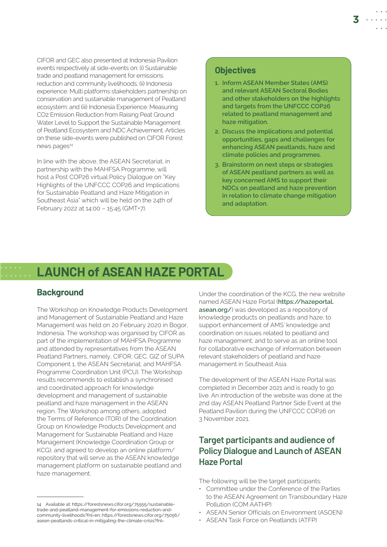CIFOR and GEC also presented at Indonesia Pavilion events respectively at side-events on: (i) Sustainable trade and peatland management for emissions reduction and community livelihoods, (ii) Indonesia experience: Multi platforms stakeholders partnership on conservation and sustainable management of Peatland ecosystem; and (iii) Indonesia Experience: Measuring CO2 Emission Reduction from Raising Peat Ground Water Level to Support the Sustainable Management of Peatland Ecosystem and NDC Achievement. Articles on these side-events were published on CIFOR Forest news pages<sup>14</sup>

In line with the above, the ASEAN Secretariat, in partnership with the MAHFSA Programme, will host a Post COP26 virtual Policy Dialogue on "Key Highlights of the UNFCCC COP26 and Implications for Sustainable Peatland and Haze Mitigation in Southeast Asia" which will be held on the 24th of February 2022 at 14:00 – 15:45 (GMT+7).

### **Objectives**

- **1. Inform ASEAN Member States (AMS) and relevant ASEAN Sectoral Bodies and other stakeholders on the highlights and targets from the UNFCCC COP26 related to peatland management and haze mitigation.**
- **2. Discuss the implications and potential opportunities, gaps and challenges for enhancing ASEAN peatlands, haze and climate policies and programmes.**
- **3. Brainstorm on next steps or strategies of ASEAN peatland partners as well as key concerned AMS to support their NDCs on peatland and haze prevention in relation to climate change mitigation and adaptation.**

# **LAUNCH of ASEAN HAZE PORTAL**

#### **Background**

The Workshop on Knowledge Products Development and Management of Sustainable Peatland and Haze Management was held on 20 February 2020 in Bogor, Indonesia. The workshop was organised by CIFOR as part of the implementation of MAHFSA Programme and attended by representatives from the ASEAN Peatland Partners, namely, CIFOR, GEC, GIZ of SUPA Component 1, the ASEAN Secretariat, and MAHFSA Programme Coordination Unit (PCU). The Workshop results recommends to establish a synchronised and coordinated approach for knowledge development and management of sustainable peatland and haze management in the ASEAN region. The Workshop among others, adopted the Terms of Reference (TOR) of the Coordination Group on Knowledge Products Development and Management for Sustainable Peatland and Haze Management (Knowledge Coordination Group or KCG); and agreed to develop an online platform/ repository that will serve as the ASEAN knowledge management platform on sustainable peatland and haze management.

Under the coordination of the KCG, the new website named ASEAN Haze Portal (**[https://hazeportal.](https://hazeportal.asean.org/) [asean.org/](https://hazeportal.asean.org/)**) was developed as a repository of knowledge products on peatlands and haze; to support enhancement of AMS' knowledge and coordination on issues related to peatland and haze management; and to serve as an online tool for collaborative exchange of information between relevant stakeholders of peatland and haze management in Southeast Asia.

The development of the ASEAN Haze Portal was completed in December 2021 and is ready to go live. An introduction of the website was done at the 2nd day ASEAN Peatland Partner Side Event at the Peatland Pavilion during the UNFCCC COP26 on 3 November 2021.

## **Target participants and audience of Policy Dialogue and Launch of ASEAN Haze Portal**

The following will be the target participants:

- Committee under the Conference of the Parties to the ASEAN Agreement on Transboundary Haze Pollution (COM AATHP)
- ASEAN Senior Officials on Environment (ASOEN)
- ASEAN Task Force on Peatlands (ATFP)

<sup>14</sup> Available at: https://forestsnews.cifor.org/75555/sustainabletrade-and-peatland-management-for-emissions-reduction-andcommunity-livelihoods?fnl=en; https://forestsnews.cifor.org/75056/ asean-peatlands-critical-in-mitigating-the-climate-crisis?fnl=